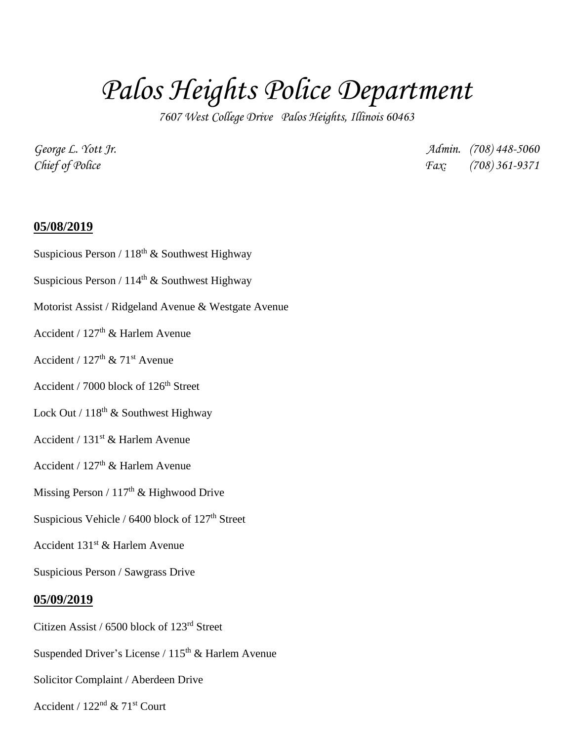# *Palos Heights Police Department*

*7607 West College Drive Palos Heights, Illinois 60463*

*George L. Yott Jr. Admin. (708) 448-5060 Chief of Police Fax: (708) 361-9371*

#### **05/08/2019**

- Suspicious Person /  $118<sup>th</sup>$  & Southwest Highway
- Suspicious Person /  $114<sup>th</sup>$  & Southwest Highway
- Motorist Assist / Ridgeland Avenue & Westgate Avenue
- Accident /  $127<sup>th</sup>$  & Harlem Avenue
- Accident /  $127<sup>th</sup>$  &  $71<sup>st</sup>$  Avenue
- Accident / 7000 block of 126<sup>th</sup> Street
- Lock Out /  $118<sup>th</sup>$  & Southwest Highway
- Accident / 131st & Harlem Avenue
- Accident /  $127<sup>th</sup>$  & Harlem Avenue
- Missing Person /  $117<sup>th</sup>$  & Highwood Drive
- Suspicious Vehicle /  $6400$  block of  $127<sup>th</sup>$  Street
- Accident  $131<sup>st</sup>$  & Harlem Avenue

Suspicious Person / Sawgrass Drive

#### **05/09/2019**

- Citizen Assist / 6500 block of 123rd Street
- Suspended Driver's License /  $115<sup>th</sup>$  & Harlem Avenue
- Solicitor Complaint / Aberdeen Drive
- Accident / 122nd & 71st Court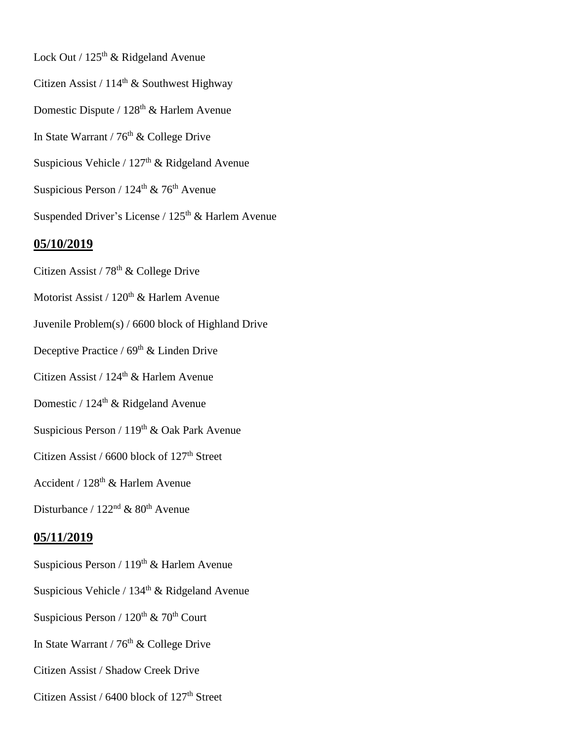- Lock Out / 125<sup>th</sup> & Ridgeland Avenue Citizen Assist /  $114<sup>th</sup>$  & Southwest Highway Domestic Dispute /  $128<sup>th</sup>$  & Harlem Avenue In State Warrant /  $76<sup>th</sup>$  & College Drive Suspicious Vehicle /  $127<sup>th</sup>$  & Ridgeland Avenue Suspicious Person /  $124<sup>th</sup>$  & 76<sup>th</sup> Avenue Suspended Driver's License /  $125<sup>th</sup>$  & Harlem Avenue **05/10/2019**
- Citizen Assist / 78<sup>th</sup> & College Drive
- Motorist Assist / 120<sup>th</sup> & Harlem Avenue
- Juvenile Problem(s) / 6600 block of Highland Drive
- Deceptive Practice /  $69<sup>th</sup>$  & Linden Drive
- Citizen Assist / 124<sup>th</sup> & Harlem Avenue
- Domestic /  $124<sup>th</sup>$  & Ridgeland Avenue
- Suspicious Person / 119<sup>th</sup> & Oak Park Avenue
- Citizen Assist / 6600 block of 127<sup>th</sup> Street
- Accident / 128th & Harlem Avenue
- Disturbance /  $122<sup>nd</sup>$  &  $80<sup>th</sup>$  Avenue

## **05/11/2019**

- Suspicious Person /  $119<sup>th</sup>$  & Harlem Avenue
- Suspicious Vehicle / 134<sup>th</sup> & Ridgeland Avenue
- Suspicious Person /  $120^{th}$  &  $70^{th}$  Court
- In State Warrant /  $76<sup>th</sup>$  & College Drive
- Citizen Assist / Shadow Creek Drive
- Citizen Assist /  $6400$  block of  $127<sup>th</sup>$  Street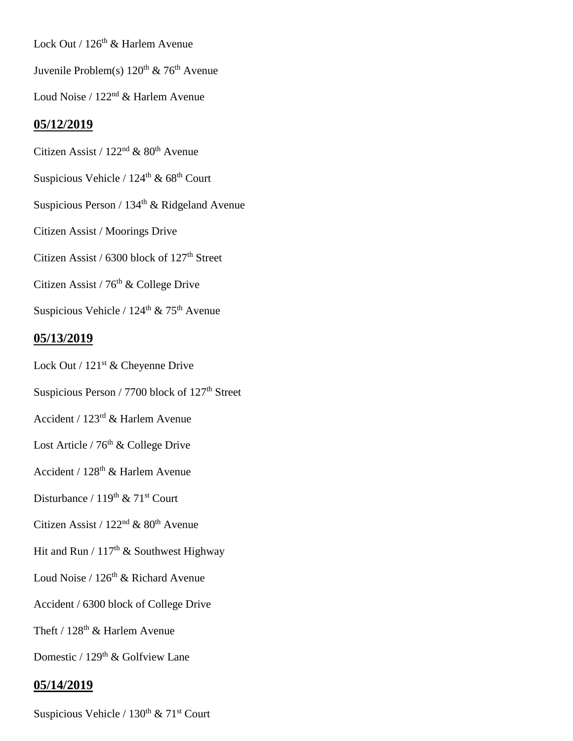Lock Out / 126<sup>th</sup> & Harlem Avenue

Juvenile Problem(s)  $120^{th}$  &  $76^{th}$  Avenue

Loud Noise / 122nd & Harlem Avenue

### **05/12/2019**

Citizen Assist /  $122<sup>nd</sup>$  &  $80<sup>th</sup>$  Avenue

Suspicious Vehicle /  $124^{\text{th}}$  &  $68^{\text{th}}$  Court

Suspicious Person /  $134<sup>th</sup>$  & Ridgeland Avenue

Citizen Assist / Moorings Drive

Citizen Assist / 6300 block of 127<sup>th</sup> Street

Citizen Assist /  $76<sup>th</sup>$  & College Drive

Suspicious Vehicle /  $124<sup>th</sup>$  &  $75<sup>th</sup>$  Avenue

#### **05/13/2019**

Lock Out / 121<sup>st</sup> & Cheyenne Drive

Suspicious Person / 7700 block of  $127<sup>th</sup>$  Street

- Accident / 123rd & Harlem Avenue
- Lost Article /  $76<sup>th</sup>$  & College Drive
- Accident / 128th & Harlem Avenue

Disturbance /  $119^{th}$  &  $71^{st}$  Court

# Citizen Assist /  $122<sup>nd</sup>$  &  $80<sup>th</sup>$  Avenue

- Hit and Run /  $117<sup>th</sup>$  & Southwest Highway
- Loud Noise /  $126<sup>th</sup>$  & Richard Avenue

Accident / 6300 block of College Drive

Theft /  $128<sup>th</sup>$  & Harlem Avenue

Domestic / 129<sup>th</sup> & Golfview Lane

#### **05/14/2019**

Suspicious Vehicle /  $130^{th}$  &  $71^{st}$  Court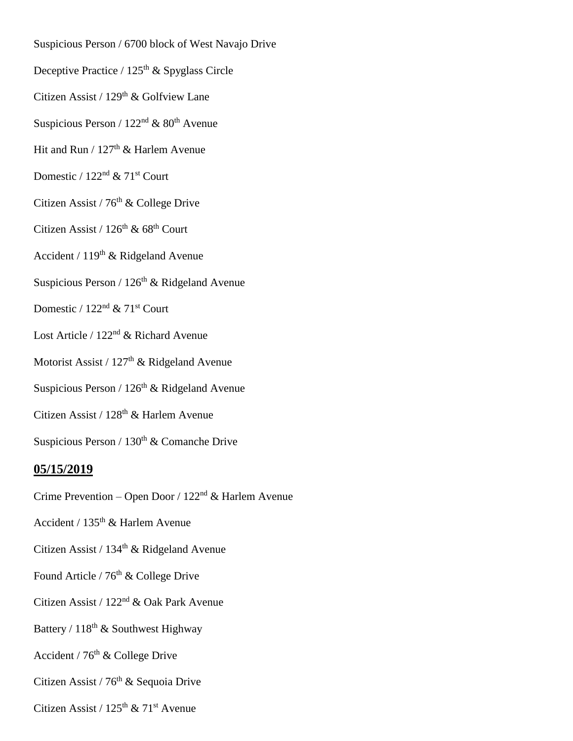- Suspicious Person / 6700 block of West Navajo Drive
- Deceptive Practice /  $125<sup>th</sup>$  & Spyglass Circle
- Citizen Assist / 129<sup>th</sup> & Golfview Lane
- Suspicious Person /  $122<sup>nd</sup>$  &  $80<sup>th</sup>$  Avenue
- Hit and Run /  $127<sup>th</sup>$  & Harlem Avenue
- Domestic /  $122<sup>nd</sup>$  &  $71<sup>st</sup>$  Court
- Citizen Assist /  $76<sup>th</sup>$  & College Drive
- Citizen Assist /  $126<sup>th</sup>$  &  $68<sup>th</sup>$  Court
- Accident / 119th & Ridgeland Avenue
- Suspicious Person /  $126<sup>th</sup>$  & Ridgeland Avenue
- Domestic /  $122<sup>nd</sup>$  &  $71<sup>st</sup>$  Court
- Lost Article / 122<sup>nd</sup> & Richard Avenue
- Motorist Assist / 127<sup>th</sup> & Ridgeland Avenue
- Suspicious Person /  $126<sup>th</sup>$  & Ridgeland Avenue
- Citizen Assist / 128<sup>th</sup> & Harlem Avenue
- Suspicious Person /  $130<sup>th</sup>$  & Comanche Drive

#### **05/15/2019**

- Crime Prevention Open Door / 122nd & Harlem Avenue
- Accident / 135th & Harlem Avenue
- Citizen Assist /  $134<sup>th</sup>$  & Ridgeland Avenue
- Found Article /  $76<sup>th</sup>$  & College Drive
- Citizen Assist / 122nd & Oak Park Avenue
- Battery /  $118<sup>th</sup>$  & Southwest Highway
- Accident /  $76<sup>th</sup>$  & College Drive
- Citizen Assist /  $76<sup>th</sup>$  & Sequoia Drive
- Citizen Assist /  $125<sup>th</sup>$  &  $71<sup>st</sup>$  Avenue